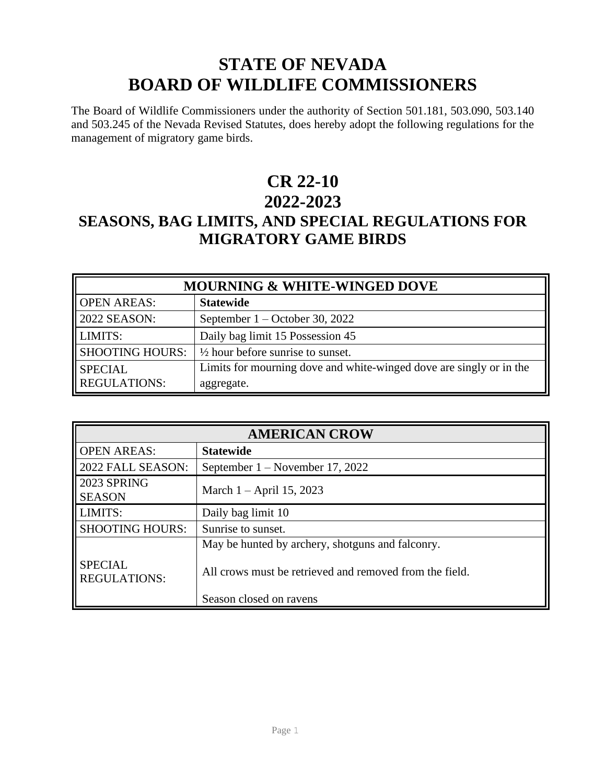# **STATE OF NEVADA BOARD OF WILDLIFE COMMISSIONERS**

The Board of Wildlife Commissioners under the authority of Section 501.181, 503.090, 503.140 and 503.245 of the Nevada Revised Statutes, does hereby adopt the following regulations for the management of migratory game birds.

# **CR 22-10 2022-2023**

# **SEASONS, BAG LIMITS, AND SPECIAL REGULATIONS FOR MIGRATORY GAME BIRDS**

| <b>MOURNING &amp; WHITE-WINGED DOVE</b> |                                                                     |
|-----------------------------------------|---------------------------------------------------------------------|
| <b>OPEN AREAS:</b>                      | <b>Statewide</b>                                                    |
| $\parallel$ 2022 SEASON:                | September $1 -$ October 30, 2022                                    |
| LIMITS:                                 | Daily bag limit 15 Possession 45                                    |
| <b>SHOOTING HOURS:</b>                  | $\frac{1}{2}$ hour before sunrise to sunset.                        |
| <b>SPECIAL</b>                          | Limits for mourning dove and white-winged dove are singly or in the |
| <b>REGULATIONS:</b>                     | aggregate.                                                          |

| <b>AMERICAN CROW</b>                  |                                                                                                             |
|---------------------------------------|-------------------------------------------------------------------------------------------------------------|
| <b>OPEN AREAS:</b>                    | <b>Statewide</b>                                                                                            |
| 2022 FALL SEASON:                     | September $1 -$ November 17, 2022                                                                           |
| 2023 SPRING<br><b>SEASON</b>          | March $1 -$ April 15, 2023                                                                                  |
| LIMITS:                               | Daily bag limit 10                                                                                          |
| <b>SHOOTING HOURS:</b>                | Sunrise to sunset.                                                                                          |
| <b>SPECIAL</b><br><b>REGULATIONS:</b> | May be hunted by archery, shotguns and falconry.<br>All crows must be retrieved and removed from the field. |
|                                       | Season closed on ravens                                                                                     |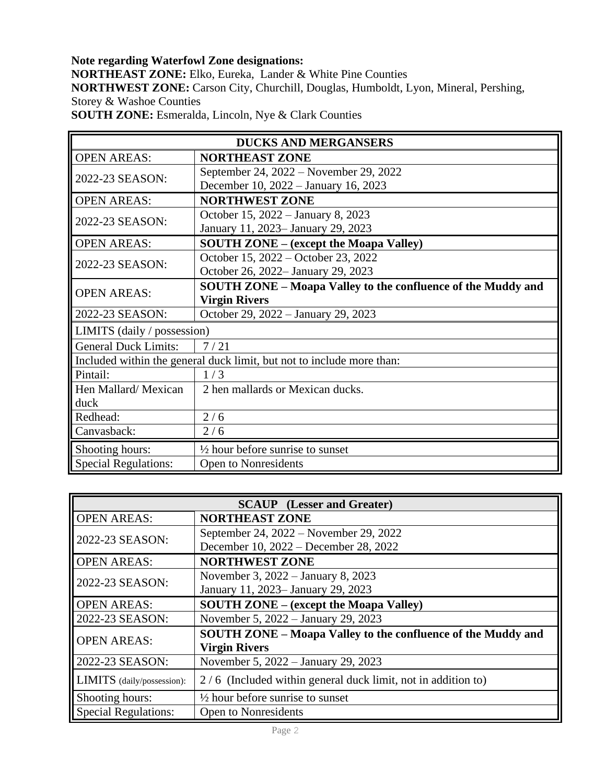**Note regarding Waterfowl Zone designations: NORTHEAST ZONE:** Elko, Eureka, Lander & White Pine Counties **NORTHWEST ZONE:** Carson City, Churchill, Douglas, Humboldt, Lyon, Mineral, Pershing, Storey & Washoe Counties **SOUTH ZONE:** Esmeralda, Lincoln, Nye & Clark Counties

| <b>DUCKS AND MERGANSERS</b>                                           |                                                                     |  |
|-----------------------------------------------------------------------|---------------------------------------------------------------------|--|
| <b>OPEN AREAS:</b>                                                    | <b>NORTHEAST ZONE</b>                                               |  |
| 2022-23 SEASON:                                                       | September 24, 2022 – November 29, 2022                              |  |
|                                                                       | December 10, 2022 – January 16, 2023                                |  |
| <b>OPEN AREAS:</b>                                                    | <b>NORTHWEST ZONE</b>                                               |  |
| 2022-23 SEASON:                                                       | October 15, 2022 – January 8, 2023                                  |  |
|                                                                       | January 11, 2023– January 29, 2023                                  |  |
| <b>OPEN AREAS:</b>                                                    | <b>SOUTH ZONE – (except the Moapa Valley)</b>                       |  |
| 2022-23 SEASON:                                                       | October 15, 2022 – October 23, 2022                                 |  |
|                                                                       | October 26, 2022– January 29, 2023                                  |  |
| <b>OPEN AREAS:</b>                                                    | <b>SOUTH ZONE – Moapa Valley to the confluence of the Muddy and</b> |  |
|                                                                       | <b>Virgin Rivers</b>                                                |  |
| 2022-23 SEASON:                                                       | October 29, 2022 - January 29, 2023                                 |  |
| LIMITS (daily / possession)                                           |                                                                     |  |
| <b>General Duck Limits:</b>                                           | 7/21                                                                |  |
| Included within the general duck limit, but not to include more than: |                                                                     |  |
| Pintail:                                                              | 1/3                                                                 |  |
| Hen Mallard/Mexican                                                   | 2 hen mallards or Mexican ducks.                                    |  |
| duck                                                                  |                                                                     |  |
| Redhead:                                                              | 2/6                                                                 |  |
| Canvasback:                                                           | 2/6                                                                 |  |
| Shooting hours:                                                       | $\frac{1}{2}$ hour before sunrise to sunset                         |  |
| <b>Special Regulations:</b>                                           | Open to Nonresidents                                                |  |

| <b>SCAUP</b> (Lesser and Greater) |                                                              |
|-----------------------------------|--------------------------------------------------------------|
| <b>OPEN AREAS:</b>                | <b>NORTHEAST ZONE</b>                                        |
| 2022-23 SEASON:                   | September 24, 2022 – November 29, 2022                       |
|                                   | December 10, 2022 – December 28, 2022                        |
| <b>OPEN AREAS:</b>                | <b>NORTHWEST ZONE</b>                                        |
| 2022-23 SEASON:                   | November 3, 2022 – January 8, 2023                           |
|                                   | January 11, 2023– January 29, 2023                           |
| <b>OPEN AREAS:</b>                | <b>SOUTH ZONE – (except the Moapa Valley)</b>                |
| 2022-23 SEASON:                   | November 5, 2022 – January 29, 2023                          |
| <b>OPEN AREAS:</b>                | SOUTH ZONE - Moapa Valley to the confluence of the Muddy and |
|                                   | <b>Virgin Rivers</b>                                         |
| 2022-23 SEASON:                   | November 5, 2022 – January 29, 2023                          |
| LIMITS (daily/possession):        | 2/6 (Included within general duck limit, not in addition to) |
| Shooting hours:                   | $\frac{1}{2}$ hour before sunrise to sunset                  |
| <b>Special Regulations:</b>       | <b>Open to Nonresidents</b>                                  |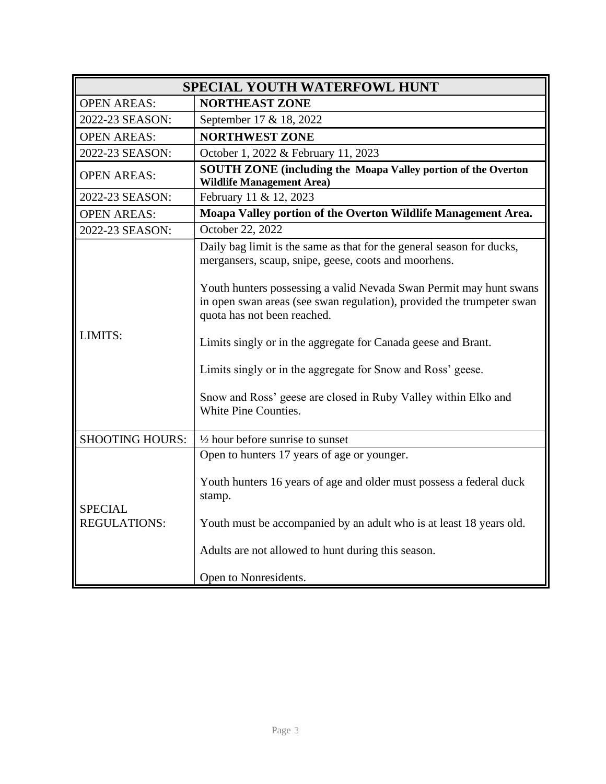| <b>SPECIAL YOUTH WATERFOWL HUNT</b>   |                                                                                                                                                                            |
|---------------------------------------|----------------------------------------------------------------------------------------------------------------------------------------------------------------------------|
| <b>OPEN AREAS:</b>                    | <b>NORTHEAST ZONE</b>                                                                                                                                                      |
| 2022-23 SEASON:                       | September 17 & 18, 2022                                                                                                                                                    |
| <b>OPEN AREAS:</b>                    | <b>NORTHWEST ZONE</b>                                                                                                                                                      |
| 2022-23 SEASON:                       | October 1, 2022 & February 11, 2023                                                                                                                                        |
| <b>OPEN AREAS:</b>                    | SOUTH ZONE (including the Moapa Valley portion of the Overton<br><b>Wildlife Management Area)</b>                                                                          |
| 2022-23 SEASON:                       | February 11 & 12, 2023                                                                                                                                                     |
| <b>OPEN AREAS:</b>                    | Moapa Valley portion of the Overton Wildlife Management Area.                                                                                                              |
| 2022-23 SEASON:                       | October 22, 2022                                                                                                                                                           |
|                                       | Daily bag limit is the same as that for the general season for ducks,<br>mergansers, scaup, snipe, geese, coots and moorhens.                                              |
|                                       | Youth hunters possessing a valid Nevada Swan Permit may hunt swans<br>in open swan areas (see swan regulation), provided the trumpeter swan<br>quota has not been reached. |
| LIMITS:                               | Limits singly or in the aggregate for Canada geese and Brant.                                                                                                              |
|                                       | Limits singly or in the aggregate for Snow and Ross' geese.                                                                                                                |
|                                       | Snow and Ross' geese are closed in Ruby Valley within Elko and<br>White Pine Counties.                                                                                     |
| <b>SHOOTING HOURS:</b>                | $\frac{1}{2}$ hour before sunrise to sunset                                                                                                                                |
| <b>SPECIAL</b><br><b>REGULATIONS:</b> | Open to hunters 17 years of age or younger.                                                                                                                                |
|                                       | Youth hunters 16 years of age and older must possess a federal duck<br>stamp.                                                                                              |
|                                       | Youth must be accompanied by an adult who is at least 18 years old.                                                                                                        |
|                                       | Adults are not allowed to hunt during this season.                                                                                                                         |
|                                       | Open to Nonresidents.                                                                                                                                                      |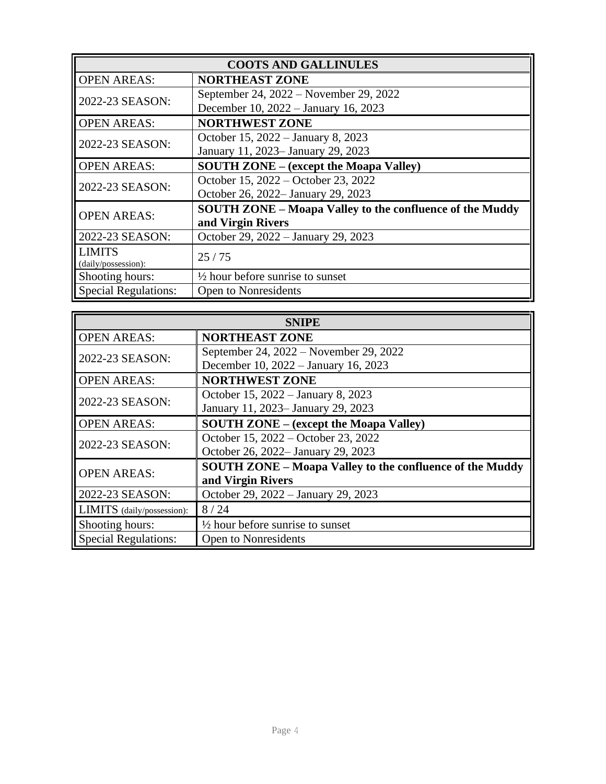| <b>COOTS AND GALLINULES</b> |                                                                 |
|-----------------------------|-----------------------------------------------------------------|
| <b>OPEN AREAS:</b>          | <b>NORTHEAST ZONE</b>                                           |
| 2022-23 SEASON:             | September 24, 2022 – November 29, 2022                          |
|                             | December 10, 2022 - January 16, 2023                            |
| <b>OPEN AREAS:</b>          | <b>NORTHWEST ZONE</b>                                           |
| 2022-23 SEASON:             | October 15, 2022 – January 8, 2023                              |
|                             | January 11, 2023– January 29, 2023                              |
| <b>OPEN AREAS:</b>          | <b>SOUTH ZONE – (except the Moapa Valley)</b>                   |
| 2022-23 SEASON:             | October 15, 2022 – October 23, 2022                             |
|                             | October 26, 2022– January 29, 2023                              |
| <b>OPEN AREAS:</b>          | <b>SOUTH ZONE - Moapa Valley to the confluence of the Muddy</b> |
|                             | and Virgin Rivers                                               |
| 2022-23 SEASON:             | October 29, 2022 - January 29, 2023                             |
| LIMITS                      | 25/75                                                           |
| (daily/possession):         |                                                                 |
| Shooting hours:             | $\frac{1}{2}$ hour before sunrise to sunset                     |
| <b>Special Regulations:</b> | <b>Open to Nonresidents</b>                                     |

| <b>SNIPE</b>                |                                                                 |
|-----------------------------|-----------------------------------------------------------------|
| <b>OPEN AREAS:</b>          | <b>NORTHEAST ZONE</b>                                           |
| 2022-23 SEASON:             | September 24, 2022 – November 29, 2022                          |
|                             | December 10, 2022 – January 16, 2023                            |
| <b>OPEN AREAS:</b>          | <b>NORTHWEST ZONE</b>                                           |
|                             | October 15, 2022 – January 8, 2023                              |
| 2022-23 SEASON:             | January 11, 2023– January 29, 2023                              |
| <b>OPEN AREAS:</b>          | <b>SOUTH ZONE – (except the Moapa Valley)</b>                   |
| 2022-23 SEASON:             | October 15, 2022 – October 23, 2022                             |
|                             | October 26, 2022– January 29, 2023                              |
| <b>OPEN AREAS:</b>          | <b>SOUTH ZONE – Moapa Valley to the confluence of the Muddy</b> |
|                             | and Virgin Rivers                                               |
| 2022-23 SEASON:             | October 29, 2022 - January 29, 2023                             |
| LIMITS (daily/possession):  | 8/24                                                            |
| Shooting hours:             | $\frac{1}{2}$ hour before sunrise to sunset                     |
| <b>Special Regulations:</b> | Open to Nonresidents                                            |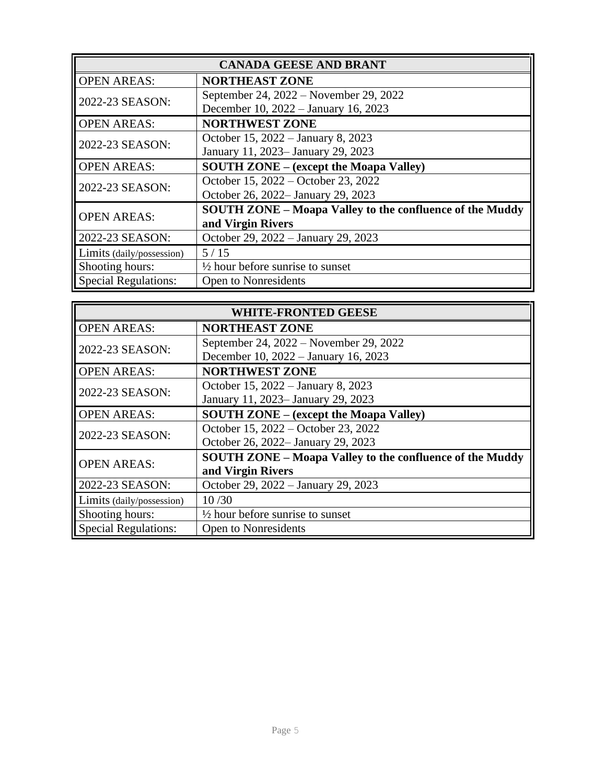| <b>CANADA GEESE AND BRANT</b> |                                                                 |
|-------------------------------|-----------------------------------------------------------------|
| <b>OPEN AREAS:</b>            | <b>NORTHEAST ZONE</b>                                           |
| 2022-23 SEASON:               | September 24, 2022 – November 29, 2022                          |
|                               | December 10, 2022 – January 16, 2023                            |
| <b>OPEN AREAS:</b>            | <b>NORTHWEST ZONE</b>                                           |
|                               | October 15, 2022 – January 8, 2023                              |
| 2022-23 SEASON:               | January 11, 2023– January 29, 2023                              |
| <b>OPEN AREAS:</b>            | <b>SOUTH ZONE – (except the Moapa Valley)</b>                   |
| 2022-23 SEASON:               | October 15, 2022 – October 23, 2022                             |
|                               | October 26, 2022- January 29, 2023                              |
| <b>OPEN AREAS:</b>            | <b>SOUTH ZONE - Moapa Valley to the confluence of the Muddy</b> |
|                               | and Virgin Rivers                                               |
| 2022-23 SEASON:               | October 29, 2022 - January 29, 2023                             |
| Limits (daily/possession)     | $5/15$                                                          |
| Shooting hours:               | $\frac{1}{2}$ hour before sunrise to sunset                     |
| <b>Special Regulations:</b>   | <b>Open to Nonresidents</b>                                     |

| <b>WHITE-FRONTED GEESE</b>  |                                                                 |
|-----------------------------|-----------------------------------------------------------------|
| <b>OPEN AREAS:</b>          | <b>NORTHEAST ZONE</b>                                           |
| 2022-23 SEASON:             | September 24, 2022 – November 29, 2022                          |
|                             | December 10, 2022 – January 16, 2023                            |
| <b>OPEN AREAS:</b>          | <b>NORTHWEST ZONE</b>                                           |
| 2022-23 SEASON:             | October 15, 2022 - January 8, 2023                              |
|                             | January 11, 2023– January 29, 2023                              |
| <b>OPEN AREAS:</b>          | <b>SOUTH ZONE - (except the Moapa Valley)</b>                   |
| 2022-23 SEASON:             | October 15, 2022 – October 23, 2022                             |
|                             | October 26, 2022– January 29, 2023                              |
| <b>OPEN AREAS:</b>          | <b>SOUTH ZONE - Moapa Valley to the confluence of the Muddy</b> |
|                             | and Virgin Rivers                                               |
| 2022-23 SEASON:             | October 29, 2022 - January 29, 2023                             |
| Limits (daily/possession)   | 10/30                                                           |
| Shooting hours:             | $\frac{1}{2}$ hour before sunrise to sunset                     |
| <b>Special Regulations:</b> | <b>Open to Nonresidents</b>                                     |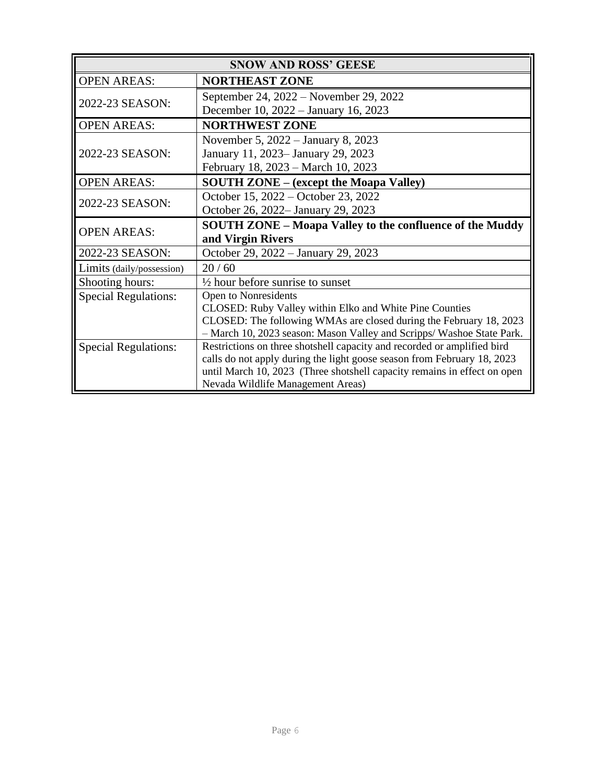| <b>SNOW AND ROSS' GEESE</b> |                                                                          |
|-----------------------------|--------------------------------------------------------------------------|
| <b>OPEN AREAS:</b>          | <b>NORTHEAST ZONE</b>                                                    |
| 2022-23 SEASON:             | September 24, 2022 – November 29, 2022                                   |
|                             | December 10, 2022 – January 16, 2023                                     |
| <b>OPEN AREAS:</b>          | <b>NORTHWEST ZONE</b>                                                    |
|                             | November 5, 2022 – January 8, 2023                                       |
| 2022-23 SEASON:             | January 11, 2023– January 29, 2023                                       |
|                             | February 18, 2023 – March 10, 2023                                       |
| <b>OPEN AREAS:</b>          | <b>SOUTH ZONE – (except the Moapa Valley)</b>                            |
| 2022-23 SEASON:             | October 15, 2022 – October 23, 2022                                      |
|                             | October 26, 2022– January 29, 2023                                       |
| <b>OPEN AREAS:</b>          | <b>SOUTH ZONE – Moapa Valley to the confluence of the Muddy</b>          |
|                             | and Virgin Rivers                                                        |
| 2022-23 SEASON:             | October 29, 2022 – January 29, 2023                                      |
| Limits (daily/possession)   | 20/60                                                                    |
| Shooting hours:             | $\frac{1}{2}$ hour before sunrise to sunset                              |
| <b>Special Regulations:</b> | Open to Nonresidents                                                     |
|                             | CLOSED: Ruby Valley within Elko and White Pine Counties                  |
|                             | CLOSED: The following WMAs are closed during the February 18, 2023       |
|                             | - March 10, 2023 season: Mason Valley and Scripps/Washoe State Park.     |
| <b>Special Regulations:</b> | Restrictions on three shotshell capacity and recorded or amplified bird  |
|                             | calls do not apply during the light goose season from February 18, 2023  |
|                             | until March 10, 2023 (Three shotshell capacity remains in effect on open |
|                             | Nevada Wildlife Management Areas)                                        |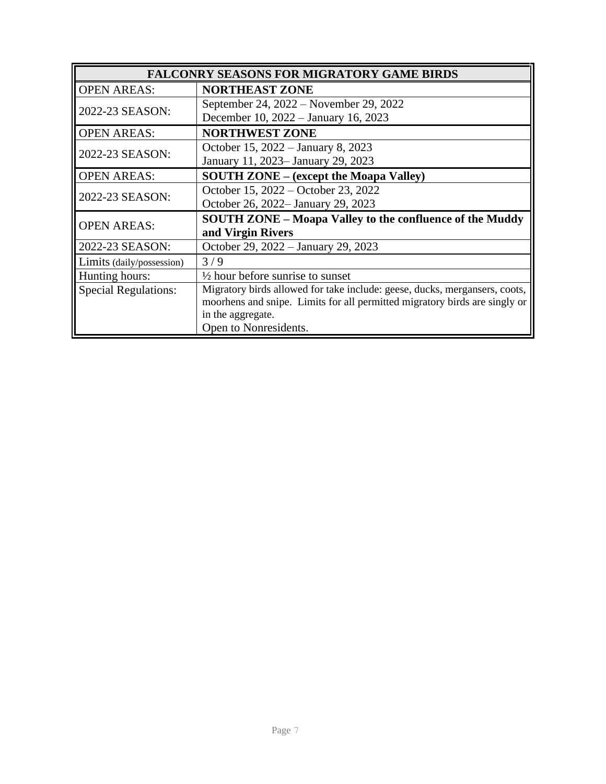| <b>FALCONRY SEASONS FOR MIGRATORY GAME BIRDS</b> |                                                                            |
|--------------------------------------------------|----------------------------------------------------------------------------|
| <b>OPEN AREAS:</b>                               | <b>NORTHEAST ZONE</b>                                                      |
|                                                  | September 24, 2022 – November 29, 2022                                     |
| 2022-23 SEASON:                                  | December 10, 2022 – January 16, 2023                                       |
| <b>OPEN AREAS:</b>                               | <b>NORTHWEST ZONE</b>                                                      |
| 2022-23 SEASON:                                  | October 15, 2022 – January 8, 2023                                         |
|                                                  | January 11, 2023– January 29, 2023                                         |
| <b>OPEN AREAS:</b>                               | <b>SOUTH ZONE – (except the Moapa Valley)</b>                              |
| 2022-23 SEASON:                                  | October 15, 2022 – October 23, 2022                                        |
|                                                  | October 26, 2022– January 29, 2023                                         |
| <b>OPEN AREAS:</b>                               | <b>SOUTH ZONE – Moapa Valley to the confluence of the Muddy</b>            |
|                                                  | and Virgin Rivers                                                          |
| 2022-23 SEASON:                                  | October 29, 2022 – January 29, 2023                                        |
| Limits (daily/possession)                        | 3/9                                                                        |
| Hunting hours:                                   | $\frac{1}{2}$ hour before sunrise to sunset                                |
| <b>Special Regulations:</b>                      | Migratory birds allowed for take include: geese, ducks, mergansers, coots, |
|                                                  | moorhens and snipe. Limits for all permitted migratory birds are singly or |
|                                                  | in the aggregate.                                                          |
|                                                  | Open to Nonresidents.                                                      |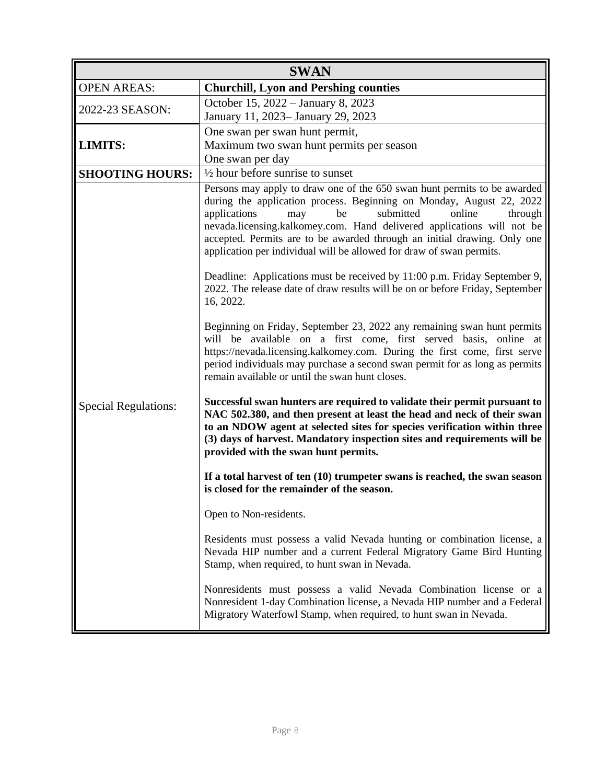| <b>SWAN</b>                 |                                                                                                                                                                                                                                                                                                                                                                                                                                                                                                                                                                                                                                                                                                                                                                                                                                                                                                                                                                                                                                                                                                                                                                                                                                                                                                                                                                                                                                                                                                                                                                                                                                                                                                                                                                               |
|-----------------------------|-------------------------------------------------------------------------------------------------------------------------------------------------------------------------------------------------------------------------------------------------------------------------------------------------------------------------------------------------------------------------------------------------------------------------------------------------------------------------------------------------------------------------------------------------------------------------------------------------------------------------------------------------------------------------------------------------------------------------------------------------------------------------------------------------------------------------------------------------------------------------------------------------------------------------------------------------------------------------------------------------------------------------------------------------------------------------------------------------------------------------------------------------------------------------------------------------------------------------------------------------------------------------------------------------------------------------------------------------------------------------------------------------------------------------------------------------------------------------------------------------------------------------------------------------------------------------------------------------------------------------------------------------------------------------------------------------------------------------------------------------------------------------------|
| <b>OPEN AREAS:</b>          | <b>Churchill, Lyon and Pershing counties</b>                                                                                                                                                                                                                                                                                                                                                                                                                                                                                                                                                                                                                                                                                                                                                                                                                                                                                                                                                                                                                                                                                                                                                                                                                                                                                                                                                                                                                                                                                                                                                                                                                                                                                                                                  |
| 2022-23 SEASON:             | October 15, 2022 – January 8, 2023<br>January 11, 2023- January 29, 2023                                                                                                                                                                                                                                                                                                                                                                                                                                                                                                                                                                                                                                                                                                                                                                                                                                                                                                                                                                                                                                                                                                                                                                                                                                                                                                                                                                                                                                                                                                                                                                                                                                                                                                      |
| <b>LIMITS:</b>              | One swan per swan hunt permit,<br>Maximum two swan hunt permits per season<br>One swan per day                                                                                                                                                                                                                                                                                                                                                                                                                                                                                                                                                                                                                                                                                                                                                                                                                                                                                                                                                                                                                                                                                                                                                                                                                                                                                                                                                                                                                                                                                                                                                                                                                                                                                |
| <b>SHOOTING HOURS:</b>      | $\frac{1}{2}$ hour before sunrise to sunset                                                                                                                                                                                                                                                                                                                                                                                                                                                                                                                                                                                                                                                                                                                                                                                                                                                                                                                                                                                                                                                                                                                                                                                                                                                                                                                                                                                                                                                                                                                                                                                                                                                                                                                                   |
| <b>Special Regulations:</b> | Persons may apply to draw one of the 650 swan hunt permits to be awarded<br>during the application process. Beginning on Monday, August 22, 2022<br>submitted<br>applications<br>be<br>online<br>through<br>may<br>nevada.licensing.kalkomey.com. Hand delivered applications will not be<br>accepted. Permits are to be awarded through an initial drawing. Only one<br>application per individual will be allowed for draw of swan permits.<br>Deadline: Applications must be received by 11:00 p.m. Friday September 9,<br>2022. The release date of draw results will be on or before Friday, September<br>16, 2022.<br>Beginning on Friday, September 23, 2022 any remaining swan hunt permits<br>will be available on a first come, first served basis, online at<br>https://nevada.licensing.kalkomey.com. During the first come, first serve<br>period individuals may purchase a second swan permit for as long as permits<br>remain available or until the swan hunt closes.<br>Successful swan hunters are required to validate their permit pursuant to<br>NAC 502.380, and then present at least the head and neck of their swan<br>to an NDOW agent at selected sites for species verification within three<br>(3) days of harvest. Mandatory inspection sites and requirements will be<br>provided with the swan hunt permits.<br>If a total harvest of ten $(10)$ trumpeter swans is reached, the swan season<br>is closed for the remainder of the season.<br>Open to Non-residents.<br>Residents must possess a valid Nevada hunting or combination license, a<br>Nevada HIP number and a current Federal Migratory Game Bird Hunting<br>Stamp, when required, to hunt swan in Nevada.<br>Nonresidents must possess a valid Nevada Combination license or a |
|                             | Nonresident 1-day Combination license, a Nevada HIP number and a Federal<br>Migratory Waterfowl Stamp, when required, to hunt swan in Nevada.                                                                                                                                                                                                                                                                                                                                                                                                                                                                                                                                                                                                                                                                                                                                                                                                                                                                                                                                                                                                                                                                                                                                                                                                                                                                                                                                                                                                                                                                                                                                                                                                                                 |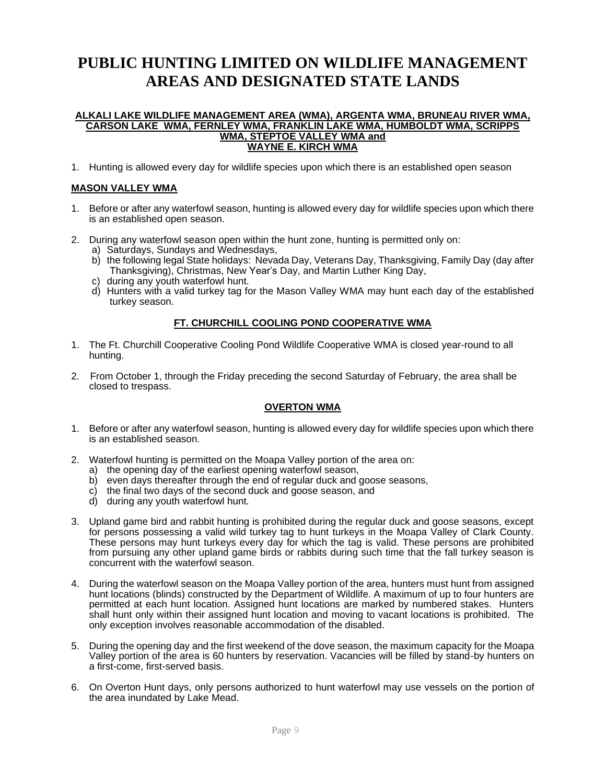## **PUBLIC HUNTING LIMITED ON WILDLIFE MANAGEMENT AREAS AND DESIGNATED STATE LANDS**

#### **ALKALI LAKE WILDLIFE MANAGEMENT AREA (WMA), ARGENTA WMA, BRUNEAU RIVER WMA, CARSON LAKE WMA, FERNLEY WMA, FRANKLIN LAKE WMA, HUMBOLDT WMA, SCRIPPS WMA, STEPTOE VALLEY WMA and WAYNE E. KIRCH WMA**

1. Hunting is allowed every day for wildlife species upon which there is an established open season

## **MASON VALLEY WMA**

- 1. Before or after any waterfowl season, hunting is allowed every day for wildlife species upon which there is an established open season.
- 2. During any waterfowl season open within the hunt zone, hunting is permitted only on:
	- a) Saturdays, Sundays and Wednesdays,
	- b) the following legal State holidays: Nevada Day, Veterans Day, Thanksgiving, Family Day (day after Thanksgiving), Christmas, New Year's Day, and Martin Luther King Day,
	- c) during any youth waterfowl hunt.
	- d) Hunters with a valid turkey tag for the Mason Valley WMA may hunt each day of the established turkey season.

### **FT. CHURCHILL COOLING POND COOPERATIVE WMA**

- 1. The Ft. Churchill Cooperative Cooling Pond Wildlife Cooperative WMA is closed year-round to all hunting.
- 2. From October 1, through the Friday preceding the second Saturday of February, the area shall be closed to trespass.

#### **OVERTON WMA**

- 1. Before or after any waterfowl season, hunting is allowed every day for wildlife species upon which there is an established season.
- 2. Waterfowl hunting is permitted on the Moapa Valley portion of the area on:
	- a) the opening day of the earliest opening waterfowl season,
	- b) even days thereafter through the end of regular duck and goose seasons,
	- c) the final two days of the second duck and goose season, and
	- d) during any youth waterfowl hunt.
- 3. Upland game bird and rabbit hunting is prohibited during the regular duck and goose seasons, except for persons possessing a valid wild turkey tag to hunt turkeys in the Moapa Valley of Clark County. These persons may hunt turkeys every day for which the tag is valid. These persons are prohibited from pursuing any other upland game birds or rabbits during such time that the fall turkey season is concurrent with the waterfowl season.
- 4. During the waterfowl season on the Moapa Valley portion of the area, hunters must hunt from assigned hunt locations (blinds) constructed by the Department of Wildlife. A maximum of up to four hunters are permitted at each hunt location. Assigned hunt locations are marked by numbered stakes. Hunters shall hunt only within their assigned hunt location and moving to vacant locations is prohibited. The only exception involves reasonable accommodation of the disabled.
- 5. During the opening day and the first weekend of the dove season, the maximum capacity for the Moapa Valley portion of the area is 60 hunters by reservation. Vacancies will be filled by stand-by hunters on a first-come, first-served basis.
- 6. On Overton Hunt days, only persons authorized to hunt waterfowl may use vessels on the portion of the area inundated by Lake Mead.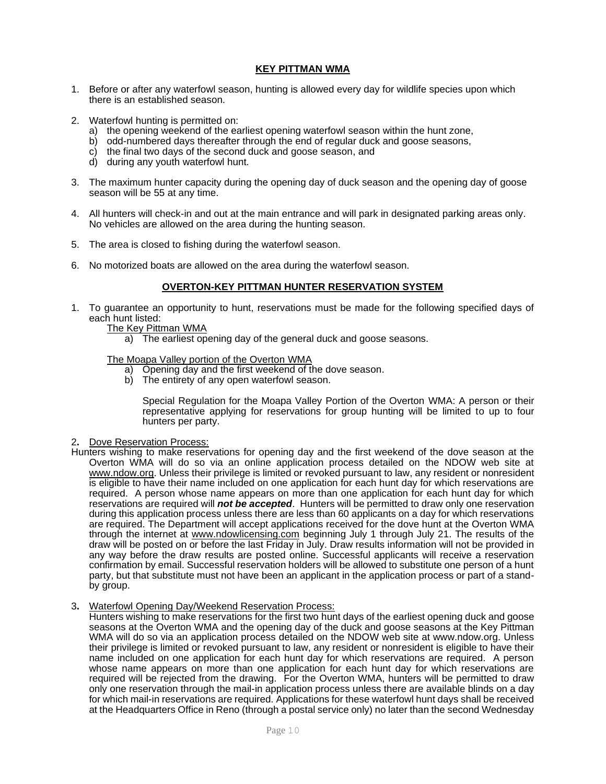### **KEY PITTMAN WMA**

- 1. Before or after any waterfowl season, hunting is allowed every day for wildlife species upon which there is an established season.
- 2. Waterfowl hunting is permitted on:
	- a) the opening weekend of the earliest opening waterfowl season within the hunt zone,
	- b) odd-numbered days thereafter through the end of regular duck and goose seasons,
	- c) the final two days of the second duck and goose season, and
	- d) during any youth waterfowl hunt.
- 3. The maximum hunter capacity during the opening day of duck season and the opening day of goose season will be 55 at any time.
- 4. All hunters will check-in and out at the main entrance and will park in designated parking areas only. No vehicles are allowed on the area during the hunting season.
- 5. The area is closed to fishing during the waterfowl season.
- 6. No motorized boats are allowed on the area during the waterfowl season.

#### **OVERTON-KEY PITTMAN HUNTER RESERVATION SYSTEM**

- 1. To guarantee an opportunity to hunt, reservations must be made for the following specified days of each hunt listed:
	- The Key Pittman WMA
		- a) The earliest opening day of the general duck and goose seasons.

#### The Moapa Valley portion of the Overton WMA

- Opening day and the first weekend of the dove season.
- b) The entirety of any open waterfowl season.

Special Regulation for the Moapa Valley Portion of the Overton WMA: A person or their representative applying for reservations for group hunting will be limited to up to four hunters per party.

- 2**.** Dove Reservation Process:
- Hunters wishing to make reservations for opening day and the first weekend of the dove season at the Overton WMA will do so via an online application process detailed on the NDOW web site at www.ndow.org. Unless their privilege is limited or revoked pursuant to law, any resident or nonresident is eligible to have their name included on one application for each hunt day for which reservations are required. A person whose name appears on more than one application for each hunt day for which reservations are required will *not be accepted*. Hunters will be permitted to draw only one reservation during this application process unless there are less than 60 applicants on a day for which reservations are required. The Department will accept applications received for the dove hunt at the Overton WMA through the internet at [www.ndowlicensing.com](http://www.ndowlicensing.com/) beginning July 1 through July 21. The results of the draw will be posted on or before the last Friday in July. Draw results information will not be provided in any way before the draw results are posted online. Successful applicants will receive a reservation confirmation by email. Successful reservation holders will be allowed to substitute one person of a hunt party, but that substitute must not have been an applicant in the application process or part of a standby group.
- 3**.** Waterfowl Opening Day/Weekend Reservation Process:

Hunters wishing to make reservations for the first two hunt days of the earliest opening duck and goose seasons at the Overton WMA and the opening day of the duck and goose seasons at the Key Pittman WMA will do so via an application process detailed on the NDOW web site at www.ndow.org. Unless their privilege is limited or revoked pursuant to law, any resident or nonresident is eligible to have their name included on one application for each hunt day for which reservations are required. A person whose name appears on more than one application for each hunt day for which reservations are required will be rejected from the drawing. For the Overton WMA, hunters will be permitted to draw only one reservation through the mail-in application process unless there are available blinds on a day for which mail-in reservations are required. Applications for these waterfowl hunt days shall be received at the Headquarters Office in Reno (through a postal service only) no later than the second Wednesday